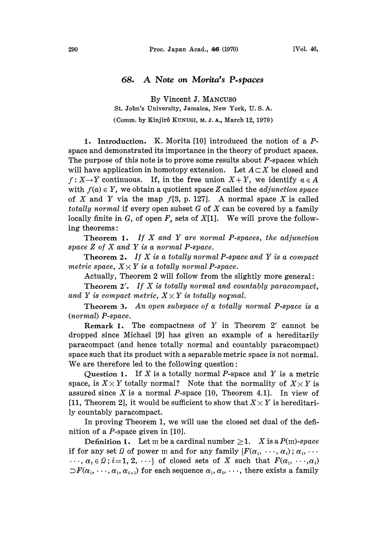## 68. A Note on Morita's P.spaces

By Vincent j. MANCUS0 St. John's University, Jamaica, New York, U. S. A.

(Comm. by Kinjirô KUNUGI, M. J. A., March 12, 1970)

1. Introduction. K. Morita [10] introduced the notion of a Pspace and demonstrated its importance in the theory of product spaces. The purpose of this note is to prove some results about P-spaces which will have application in homotopy extension. Let  $A \subset X$  be closed and  $f: X \rightarrow Y$  continuous. If, in the free union  $X + Y$ , we identify  $a \in A$ with  $f(a) \in Y$ , we obtain a quotient space Z called the *adjunction space* of X and Y via the map  $f[3, p. 127]$ . A normal space X is called totally normal if every open subset  $G$  of  $X$  can be covered by a family locally finite in G, of open  $F<sub>e</sub>$  sets of  $X[1]$ . We will prove the following theorems:

Theorem 1. If  $X$  and  $Y$  are normal P-spaces, the adjunction space  $Z$  of  $X$  and  $Y$  is a normal P-space.

**Theorem 2.** If X is a totally normal P-space and Y is a compact metric space,  $X \times Y$  is a totally normal P-space.

Actually, Theorem 2 will follow from the slightly more general:

Theorem 2'. If X is totally normal and countably paracompact, and Y is compact metric,  $X \times Y$  is totally normal.

Theorem 3. An open subspace of a totally normal P-space is a (normal) P-space.

**Remark 1.** The compactness of Y in Theorem  $2'$  cannot be dropped since Michael [9] has given an example of a hereditarily paracompact (and hence totally normal and countably paracompact) space such that its product with a separable metric space is not normal. We are therefore led to the following question:

Question 1. If  $X$  is a totally normal P-space and  $Y$  is a metric space, is  $X \times Y$  totally normal? Note that the normality of  $X \times Y$  is assured since  $X$  is a normal  $P$ -space [10, Theorem 4.1]. In view of [11, Theorem 2], it would be sufficient to show that  $X \times Y$  is hereditarily countably paracompact.

In proving Theorem 1, we will use the closed set dual of the definition of a P-space given in [10].

Definition 1. Let m be a cardinal number  $\geq 1$ . X is a  $P(m)$ -space if for any set  $\Omega$  of power m and for any family  $\{F(\alpha_1, \ldots, \alpha_i); \alpha_1, \ldots\}$  $\ldots, \alpha_i \in \Omega$ ;  $i=1, 2, \ldots$  of closed sets of X such that  $F(\alpha_1, \ldots, \alpha_i)$  $\supset F(\alpha_1,\dots,\alpha_i,\alpha_{i+1})$  for each sequence  $\alpha_1,\alpha_2,\dots$ , there exists a family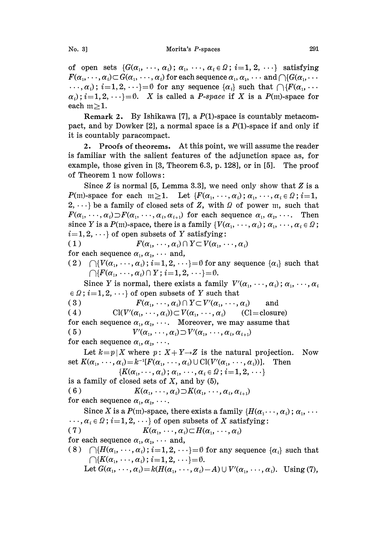of open sets  $\{G(\alpha_1, \ldots, \alpha_i); \alpha_1, \ldots, \alpha_i \in \Omega; i=1, 2, \ldots\}$  satisfying  $F(\alpha_1,\dots,\alpha_i)\subset G(\alpha_1,\dots,\alpha_i)$  for each sequence  $\alpha_1,\alpha_2,\dots$  and  $\bigcap\{G(\alpha_1,\dots,\alpha_i)\in G(\alpha_1,\dots,\alpha_i)\}$  $\ldots, \alpha_i$ ;  $i=1,2,\ldots=0$  for any sequence  $\{\alpha_i\}$  such that  $\bigcap \{F(\alpha_1, \ldots, \alpha_n)\}$  $\alpha_i$ ;  $i=1,2,\dots=0$ . X is called a *P-space* if X is a *P*(m)-space for each  $m \ge 1$ .

Remark 2. By Ishikawa [7], a  $P(1)$ -space is countably metacompact, and by Dowker [2], a normal space is a  $P(1)$ -space if and only if it is countably paracompact.

2. Proofs of theorems. At this point, we will assume the reader is familiar with the salient features of the adjunction space as, for example, those given in [3, Theorem 6.3, p. 128], or in [5]. The proof of Theorem 1 now follows:

Since  $Z$  is normal [5, Lemma 3.3], we need only show that  $Z$  is a  $P(m)$ -space for each  $m \ge 1$ . Let  $\{F(\alpha_1, \dots, \alpha_i); \alpha_1, \dots, \alpha_i \in \Omega; i=1, \dots, \lambda_i\}$  $2, \dots$  be a family of closed sets of Z, with  $\Omega$  of power m, such that  $F(\alpha_1, \dots, \alpha_i) \supset F(\alpha_1, \dots, \alpha_i, \alpha_{i+1})$  for each sequence  $\alpha_1, \alpha_2, \dots$ . Then since Y is a P(m)-space, there is a family { $V(\alpha_1, \dots, \alpha_i)$ ;  $\alpha_1, \dots, \alpha_i \in \Omega$ ;  $i=1, 2, \cdots$  of open subsets of Y satisfying:

(1)  $F(\alpha_1, \dots, \alpha_i) \cap Y \subset V(\alpha_1, \dots, \alpha_i)$ for each sequence  $\alpha_1, \alpha_2, \cdots$  and,

(2)  $\bigcap \{V(\alpha_1, \dots, \alpha_i)\,;\, i=1, 2, \dots\} = \emptyset$  for any sequence  $\{\alpha_i\}$  such that  $\bigcap \{F(\alpha_1, \ldots, \alpha_i) \cap Y; i=1,2,\cdots\} = \emptyset.$ 

Since Y is normal, there exists a family  $V'(\alpha_1, \dots, \alpha_i); \alpha_1, \dots, \alpha_i$  $\epsilon \Omega$ ;  $i=1, 2, \dots$ } of open subsets of Y such that<br>
(3)  $F(\alpha_1, \dots, \alpha_i) \cap Y \subset V'(\alpha_1, \dots, \alpha_i)$  and

( 4 ) Cl(V'( $\alpha_1, \dots, \alpha_i$ ))  $\subset V(\alpha_1, \dots, \alpha_i)$  (Cl=closure) for each sequence  $\alpha_1, \alpha_2, \cdots$ . Moreover, we may assume that

( 5 )  $V'(\alpha_1, \cdots, \alpha_i) \supset V'(\alpha_1, \cdots, \alpha_i, \alpha_{i+1})$ for each sequence  $\alpha_1, \alpha_2, \cdots$ .

Let  $k=p|X$  where  $p: X+Y \rightarrow Z$  is the natural projection. Now set  $K(\alpha_1, \dots, \alpha_i) = k^{-1}[F(\alpha_1, \dots, \alpha_i) \cup \text{Cl}(V'(\alpha_1, \dots, \alpha_i))]$ . Then  $\{K(\alpha_1, \cdots, \alpha_i); \alpha_1, \cdots, \alpha_i \in \Omega; i=1,2,\cdots\}$ is a family of closed sets of  $X$ , and by  $(5)$ , (6)  $K(\alpha_1, \cdots, \alpha_i) \supset K(\alpha_1, \cdots, \alpha_i, \alpha_{i+1})$ for each sequence  $\alpha_1, \alpha_2, \cdots$ . Since X is a  $P(m)$ -space, there exists a family  $\{H(\alpha_1 \cdots, \alpha_i) \, ; \, \alpha_1, \cdots \}$  $\ldots, \alpha_i \in \Omega$ ;  $i=1, 2, \ldots$  of open subsets of X satisfying:<br>(7)  $K(\alpha_1, \ldots, \alpha_i) \subset H(\alpha_1, \ldots, \alpha_i)$  $K(\alpha_1, \dots, \alpha_i)$   $\subset H(\alpha_1, \dots, \alpha_i)$ for each sequence  $\alpha_1, \alpha_2, \cdots$  and, (8)  $\bigcap \{H(\alpha_1, \dots, \alpha_i)\,;\, i=1, 2, \dots\} = \emptyset$  for any sequence  $\{\alpha_i\}$  such that  $\bigcap \{K(\alpha_1, \cdots, \alpha_i)\,;\, i=1,2,\cdots\} = \emptyset.$ 

Let  $G(\alpha_1, \dots, \alpha_i) = k(H(\alpha_1, \dots, \alpha_i)-A) \cup V'(\alpha_1, \dots, \alpha_i)$ . Using (7),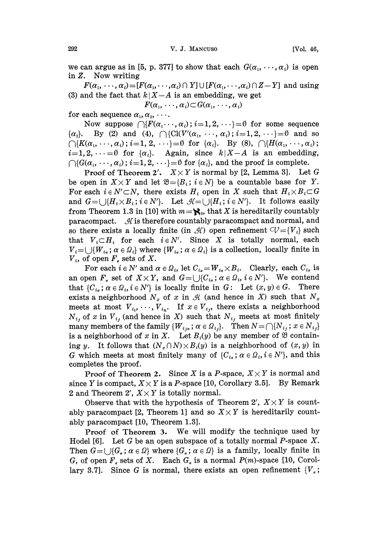we can argue as in [5, p. 377] to show that each  $G(\alpha_1, \dots, \alpha_i)$  is open in Z. Now writing

 $F(\alpha_1, \dots, \alpha_i) = [F(\alpha_1, \dots, \alpha_i) \cap Y] \cup [F(\alpha_1, \dots, \alpha_i) \cap Z - Y]$  and using (3) and the fact that  $k | X - A$  is an embedding, we get<br>  $F(\alpha_1, \dots, \alpha_i) \subset G(\alpha_1, \dots, \alpha_i)$ 

$$
F(\alpha_1,\cdots,\alpha_i)\subset G(\alpha_1,\cdots,\alpha_i)
$$

for each sequence  $\alpha_1, \alpha_2, \cdots$ .

Now suppose  $\bigcap \{F(\alpha_1, \dots, \alpha_i) : i=1, 2, \dots\} = \emptyset$  for some sequence  $\{\alpha_2\}$ . By (2) and (4),  $\bigcap \{\text{Cl}(V'(\alpha_1, \dots, \alpha_i); i=1, 2, \dots\} = \emptyset$  and so  $\bigcap \{K(\alpha_1, \dots, \alpha_i)\,;\,i=1,\,2,\,\dots\} = \emptyset$  for  $\{\alpha_i\}$ . By (8),  $\bigcap \{H(\alpha_1, \dots, \alpha_i)\,;\,$  $i=1,2,\dots=0$  for  $\{\alpha_i\}$ . Again, since  $k|X-A$  is an embedding,  $\bigcap \{G(\alpha_1, \dots, \alpha_i)\,;\, i=1,2,\dots\} = \emptyset$  for  $\{\alpha_i\}$ , and the proof is complete.

**Proof of Theorem 2'.**  $X \times Y$  is normal by [2, Lemma 3]. Let G be open in  $X \times Y$  and let  $\mathfrak{B} = \{B_i : i \in N\}$  be a countable base for Y. For each  $i \in N' \subset N$ , there exists  $H_i$  open in X such that  $H_i \times B_i \subset G$ and  $G = \bigcup \{H_i \times B_i : i \in N'\}.$  Let  $\mathcal{H} = \bigcup \{H_i : i \in N'\}.$  It follows easily from Theorem 1.3 in [10] with  $m=\aleph_0$ , that X is hereditarily countably paracompact.  $\mathcal{A}$  is therefore countably paracompact and normal, and so there exists a locally finite (in  $\mathcal{H}$ ) open refinement  $CV = \{V_i\}$  such that  $V_i \subset H_i$  for each  $i \in N'$ . Since X is totally normal, each  $V_i = \bigcup \{W_{i\alpha}; \alpha \in \Omega_i\}$  where  $\{W_{i\alpha}; \alpha \in \Omega_i\}$  is a collection, locally finite in  $V_i$ , of open  $F_i$ , sets of X.

For each  $i \in N'$  and  $\alpha \in \Omega_i$ , let  $C_{i\alpha} = W_{i\alpha} \times B_i$ . Clearly, each  $C_{i\alpha}$  is an open  $F<sub>a</sub>$  set of  $X \times Y$ , and  $G = \bigcup \{C_{i_a}; a \in \Omega_i, i \in N'\}$ . We contend that  $\{C_{i_{\alpha}}; \alpha \in \Omega_i, i \in N'\}$  is locally finite in  $G:$  Let  $(x, y) \in G$ . There exists a neighborhood  $N_x$  of x in  $\mathcal A$  (and hence in X) such that  $N_x$ meets at most  $V_{i_1}, \dots, V_{i_n}$ . If  $x \in V_{i_j}$ , there exists a neighborhood  $N_{i,j}$  of x in  $V_{i,j}$  (and hence in X) such that  $N_{i,j}$  meets at most finitely many members of the family  $\{W_{i,j}: \alpha \in \Omega_{i,j}\}\$ . Then  $N = \bigcap \{N_{i,j}: \alpha \in N_{i,j}\}\$ is a neighborhood of x in X. Let  $B_i(y)$  be any member of  $\mathfrak{B}$  containing y. It follows that  $(N_x \cap N) \times B_i(y)$  is a neighborhood of  $(x, y)$  in G which meets at most finitely many of  $\{C_{i\alpha}; \alpha \in \Omega_i, i \in N'\}$ , and this completes the proof.

Proof of Theorem 2. Since X is a P-space,  $X \times Y$  is normal and since Y is compact,  $X \times Y$  is a P-space [10, Corollary 3.5]. By Remark 2 and Theorem 2',  $X \times Y$  is totally normal.

Observe that with the hypothesis of Theorem 2',  $X \times Y$  is countably paracompact [2, Theorem 1] and so  $X \times Y$  is hereditarily countably paracompact [10, Theorem 1.3].

Proof of Theorem 3. We will modify the technique used by Hodel [6]. Let G be an open subspace of a totally normal P-space  $X$ . Then  $G = \cup \{G_{\alpha} : \alpha \in \Omega\}$  where  $\{G_{\alpha} : \alpha \in \Omega\}$  is a family, locally finite in G, of open  $F<sub>a</sub>$  sets of X. Each  $G<sub>a</sub>$  is a normal  $P(m)$ -space [10, Corollary 3.7]. Since G is normal, there exists an open refinement  ${V_\alpha}$ ;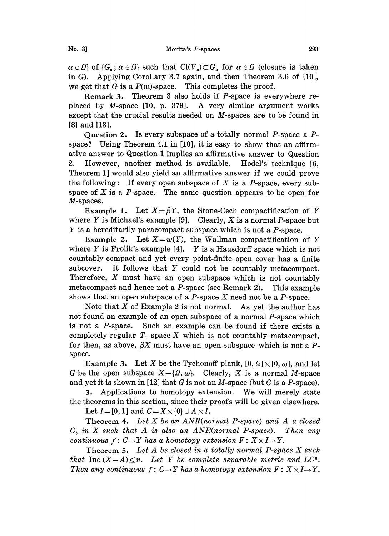$\alpha \in \Omega$  of  $\{G_{\alpha}; \alpha \in \Omega\}$  such that  $Cl(V_{\alpha}) \subset G_{\alpha}$  for  $\alpha \in \Omega$  (closure is taken in G). Applying Corollary 3.7 again, and then Theorem 3.6 of [10], we get that G is a  $P(m)$ -space. This completes the proof.

Remark 3. Theorem 3 also holds if P-space is everywhere replaced by M-space [10, p. 379]. A very similar argument works except that the crucial results needed on M-spaces are to be found in [8] and [13].

Question 2. Is every subspace of a totally normal P-space a Pspace? Using Theorem 4.1 in [10], it is easy to show that an affirmative answer to Question 1 implies an affirmative answer to Question 2. However, another method is available. Hodel's technique [6, Theorem 1] would also yield an affirmative answer if we could prove the following: If every open subspace of X is a P-space, every subspace of X is a P-space. The same question appears to be open for M-spaces.

Example 1. Let  $X = \beta Y$ , the Stone-Cech compactification of Y where Y is Michael's example [9]. Clearly, X is a normal P-space but Y is a hereditarily paracompact subspace which is not a P-space.

Example 2. Let  $X=w(Y)$ , the Wallman compactification of Y where Y is Frolik's example  $[4]$ . Y is a Hausdorff space which is not countably compact and yet every point-finite open cover has a finite subcover. It follows that Y could not be countably metacompact. Therefore,  $X$  must have an open subspace which is not countably metacompact and hence not a  $P$ -space (see Remark 2). This example shows that an open subspace of a  $P$ -space  $X$  need not be a  $P$ -space.

Note that  $X$  of Example 2 is not normal. As yet the author has not found an example of an open subspace of a normal P-space which is not a P-space. Such an example can be found if there exists a completely regular  $T_1$  space X which is not countably metacompact, for then, as above,  $\beta X$  must have an open subspace which is not a Pspace.

**Example 3.** Let X be the Tychonoff plank,  $[0, 0] \times [0, \omega]$ , and let G be the open subspace  $X-\{\Omega, \omega\}$ . Clearly, X is a normal M-space and yet it is shown in [12] that G is not an M-space (but G is a P-space).

3. Applications to homotopy extension. We will merely state the theorems in this section, since their proofs will be given elsewhere.

Let  $I = [0, 1]$  and  $C = X \times \{0\} \cup A \times I$ .

Theorem 4. Let  $X$  be an  $ANR(normal P-space)$  and  $A$  a closed  $G_s$  in X such that A is also an ANR(normal P-space). Then any continuous  $f: C \rightarrow Y$  has a homotopy extension  $F: X \times I \rightarrow Y$ .

Theorem 5. Let  $A$  be closed in a totally normal P-space  $X$  such that Ind  $(X-A)\leq n$ . Let Y be complete separable metric and LC<sup>n</sup>. Then any continuous  $f: C \rightarrow Y$  has a homotopy extension  $F: X \times I \rightarrow Y$ .